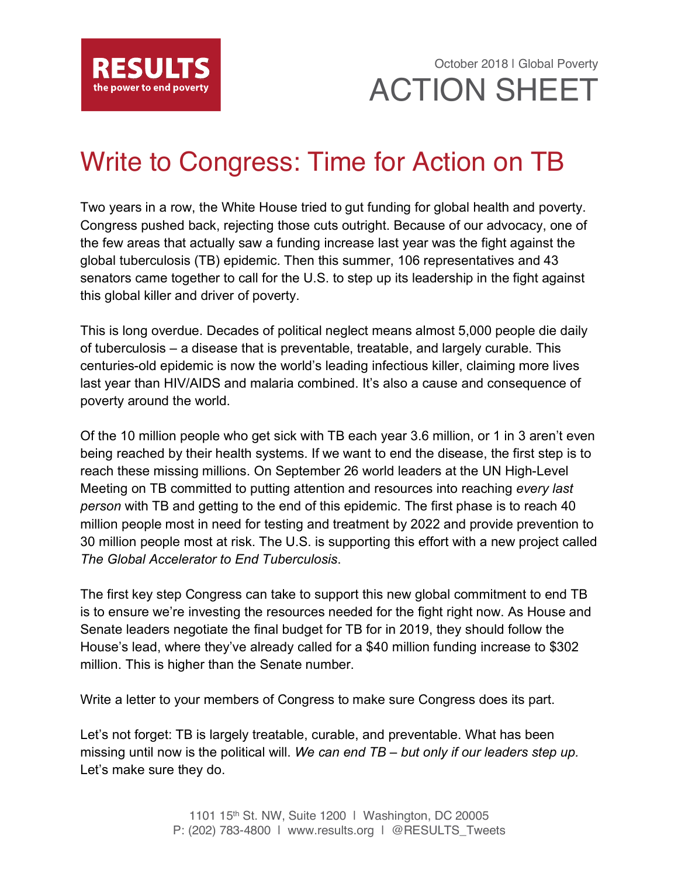

October 2018 | Global Poverty ACTION SHEET

# Write to Congress: Time for Action on TB

Two years in a row, the White House tried to gut funding for global health and poverty. Congress pushed back, rejecting those cuts outright. Because of our advocacy, one of the few areas that actually saw a funding increase last year was the fight against the global tuberculosis (TB) epidemic. Then this summer, 106 representatives and 43 senators came together to call for the U.S. to step up its leadership in the fight against this global killer and driver of poverty.

This is long overdue. Decades of political neglect means almost 5,000 people die daily of tuberculosis – a disease that is preventable, treatable, and largely curable. This centuries-old epidemic is now the world's leading infectious killer, claiming more lives last year than HIV/AIDS and malaria combined. It's also a cause and consequence of poverty around the world.

Of the 10 million people who get sick with TB each year 3.6 million, or 1 in 3 aren't even being reached by their health systems. If we want to end the disease, the first step is to reach these missing millions. On September 26 world leaders at the UN High-Level Meeting on TB committed to putting attention and resources into reaching *every last person* with TB and getting to the end of this epidemic. The first phase is to reach 40 million people most in need for testing and treatment by 2022 and provide prevention to 30 million people most at risk. The U.S. is supporting this effort with a new project called *The Global Accelerator to End Tuberculosis*.

The first key step Congress can take to support this new global commitment to end TB is to ensure we're investing the resources needed for the fight right now. As House and Senate leaders negotiate the final budget for TB for in 2019, they should follow the House's lead, where they've already called for a \$40 million funding increase to \$302 million. This is higher than the Senate number.

Write a letter to your members of Congress to make sure Congress does its part.

Let's not forget: TB is largely treatable, curable, and preventable. What has been missing until now is the political will. *We can end TB – but only if our leaders step up.*  Let's make sure they do.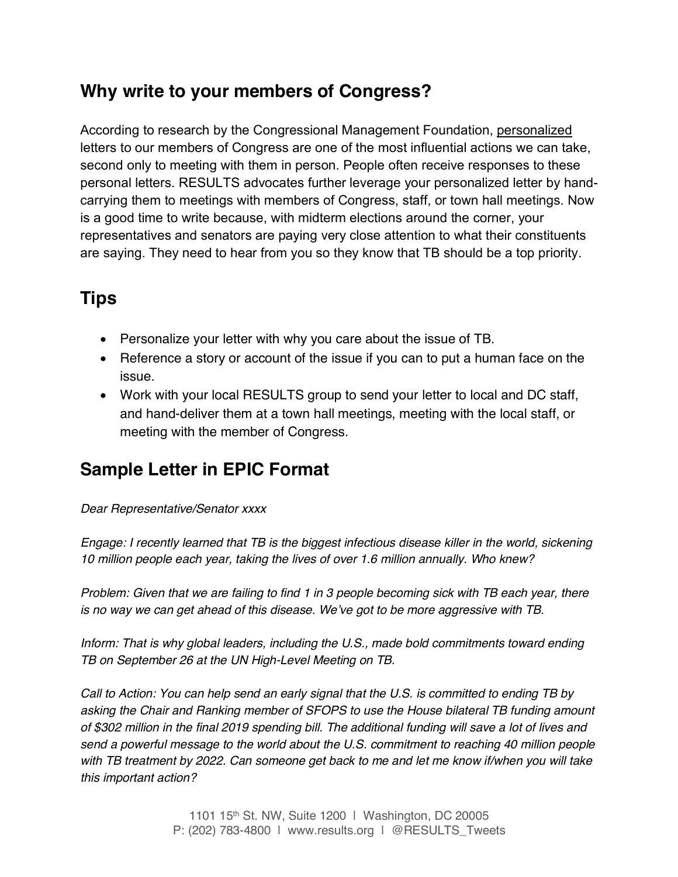### **Why write to your members of Congress?**

According to research by the Congressional Management Foundation, personalized letters to our members of Congress are one of the most influential actions we can take, second only to meeting with them in person. People often receive responses to these personal letters. RESULTS advocates further leverage your personalized letter by handcarrying them to meetings with members of Congress, staff, or town hall meetings. Now is a good time to write because, with midterm elections around the corner, your representatives and senators are paying very close attention to what their constituents are saying. They need to hear from you so they know that TB should be a top priority.

## **Tips**

- Personalize your letter with why you care about the issue of TB.
- Reference a story or account of the issue if you can to put a human face on the issue.
- Work with your local RESULTS group to send your letter to local and DC staff, and hand-deliver them at a town hall meetings, meeting with the local staff, or meeting with the member of Congress.

### **Sample Letter in EPIC Format**

*Dear Representative/Senator xxxx*

*Engage: I recently learned that TB is the biggest infectious disease killer in the world, sickening 10 million people each year, taking the lives of over 1.6 million annually. Who knew?*

*Problem: Given that we are failing to find 1 in 3 people becoming sick with TB each year, there is no way we can get ahead of this disease. We've got to be more aggressive with TB.*

*Inform: That is why global leaders, including the U.S., made bold commitments toward ending TB on September 26 at the UN High-Level Meeting on TB.*

*Call to Action: You can help send an early signal that the U.S. is committed to ending TB by asking the Chair and Ranking member of SFOPS to use the House bilateral TB funding amount of \$302 million in the final 2019 spending bill. The additional funding will save a lot of lives and send a powerful message to the world about the U.S. commitment to reaching 40 million people with TB treatment by 2022. Can someone get back to me and let me know if/when you will take this important action?*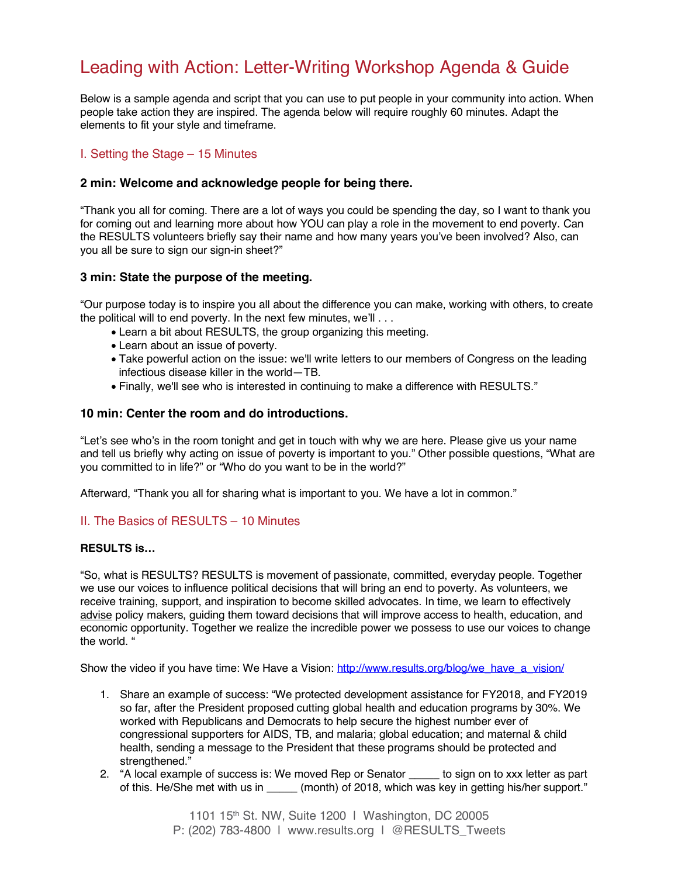### Leading with Action: Letter-Writing Workshop Agenda & Guide

Below is a sample agenda and script that you can use to put people in your community into action. When people take action they are inspired. The agenda below will require roughly 60 minutes. Adapt the elements to fit your style and timeframe.

#### I. Setting the Stage – 15 Minutes

#### **2 min: Welcome and acknowledge people for being there.**

"Thank you all for coming. There are a lot of ways you could be spending the day, so I want to thank you for coming out and learning more about how YOU can play a role in the movement to end poverty. Can the RESULTS volunteers briefly say their name and how many years you've been involved? Also, can you all be sure to sign our sign-in sheet?"

#### **3 min: State the purpose of the meeting.**

"Our purpose today is to inspire you all about the difference you can make, working with others, to create the political will to end poverty. In the next few minutes, we'll . . .

- Learn a bit about RESULTS, the group organizing this meeting.
- Learn about an issue of poverty.
- Take powerful action on the issue: we'll write letters to our members of Congress on the leading infectious disease killer in the world—TB.
- Finally, we'll see who is interested in continuing to make a difference with RESULTS."

#### **10 min: Center the room and do introductions.**

"Let's see who's in the room tonight and get in touch with why we are here. Please give us your name and tell us briefly why acting on issue of poverty is important to you." Other possible questions, "What are you committed to in life?" or "Who do you want to be in the world?"

Afterward, "Thank you all for sharing what is important to you. We have a lot in common."

#### II. The Basics of RESULTS – 10 Minutes

#### **RESULTS is…**

"So, what is RESULTS? RESULTS is movement of passionate, committed, everyday people. Together we use our voices to influence political decisions that will bring an end to poverty. As volunteers, we receive training, support, and inspiration to become skilled advocates. In time, we learn to effectively advise policy makers, guiding them toward decisions that will improve access to health, education, and economic opportunity. Together we realize the incredible power we possess to use our voices to change the world. "

Show the video if you have time: We Have a Vision: http://www.results.org/blog/we\_have\_a\_vision/

- 1. Share an example of success: "We protected development assistance for FY2018, and FY2019 so far, after the President proposed cutting global health and education programs by 30%. We worked with Republicans and Democrats to help secure the highest number ever of congressional supporters for AIDS, TB, and malaria; global education; and maternal & child health, sending a message to the President that these programs should be protected and strengthened."
- 2. "A local example of success is: We moved Rep or Senator bologique to sign on to xxx letter as part of this. He/She met with us in  $\qquad$  (month) of 2018, which was key in getting his/her support."